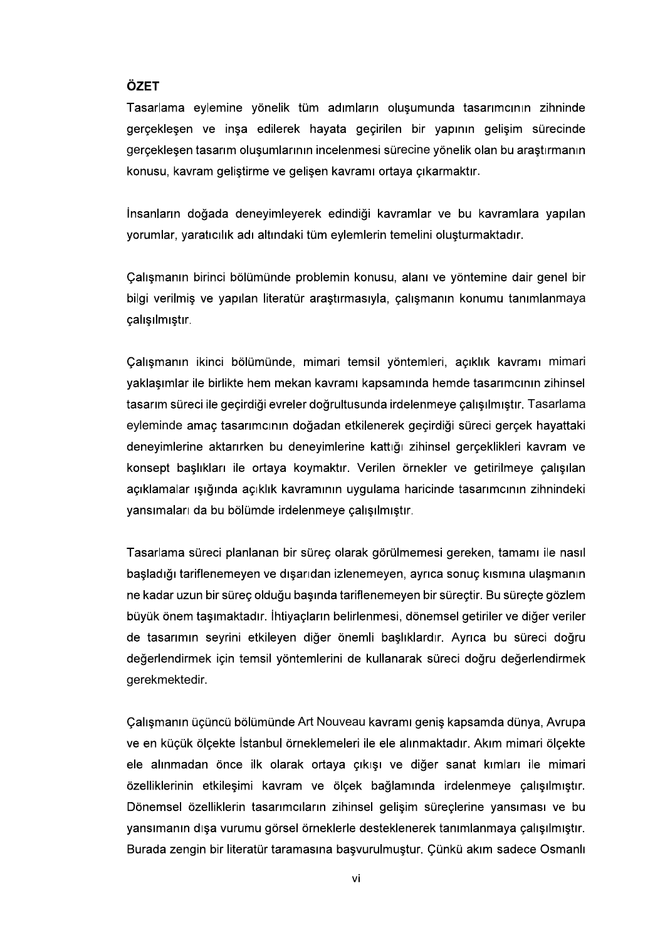## ÖZET

Tasarlama eylemine yönelik tüm adımların oluşumunda tasarımcının zihninde gerceklesen ve insa edilerek hayata gecirilen bir yapının gelisim sürecinde gerceklesen tasarım olusumlarının incelenmesi sürecine yönelik olan bu arastırmanın

.<br>kavramlara yapılan<br>maktadır.<br>emine dair genel bir<br>numu tanımlanmaya çalışılmıştır.

Çalışmanın ikinci bölümünde, mimari temsil yöntemleri, açıklık kavramı mimari yaklaşımlar ile birlikte hem mekan kavramı kapsamında hemde tasarımcının zihinsel tasarım süreci ile gecirdiği evreler doğrultusunda irdelenmeye calışılmıştır. Tasarlama eyleminde amac tasarımcının doğadan etkilenerek gecirdiği süreci gercek hayattaki deneyimlerine aktarırken bu deneyimlerine kattığı zihinsel gerçeklikleri kavram ve konsept başlıkları ile ortaya koymaktır. Verilen örnekler ve getirilmeye çalışılan açıklamalar ışığında açıklık kavramının uygulama haricinde tasarımcının zihnindeki yansımaları da bu bölümde irdelenmeye çalışılmıştır.

Tasarlama süreci planlanan bir süreç olarak görülmemesi gereken, tamamı ile nasıl başladığı tariflenemeyen ve dışarıdan izlenemeyen, ayrıca sonuç kısmına ulaşmanın ne kadar uzun bir süreç olduğu başında tariflenemeyen bir süreçtir. Bu süreçte gözlem büyük önem taşımaktadır. İhtiyaçların belirlenmesi, dönemsel getiriler ve diğer veriler de tasarımın seyrini etkileyen diğer önemli başlıklardır. Ayrıca bu süreci doğru değerlendirmek için temsil yöntemlerini de kullanarak süreci doğru değerlendirmek gerekmektedir.

Çalışmanın üçüncü bölümünde Art Nouveau kavramı geniş kapsamda dünya, Avrupa ve en küçük ölcekte İstanbul örneklemeleri ile ele alınmaktadır. Akım mimari ölcekte ele alınmadan önce ilk olarak ortaya cıkısı ve diğer sanat kımları ile mimari özelliklerinin etkilesimi kavram ve ölçek bağlamında irdelenmeye çalışılmıştır. Dönemsel özelliklerin tasarımcıların zihinsel gelişim süreçlerine yansıması ve bu yansımanın dışa vurumu görsel örneklerle desteklenerek tanımlanmaya çalışılmıştır. Burada zengin bir literatür taramasına başvurulmuştur. Çünkü akım sadece Osmanlı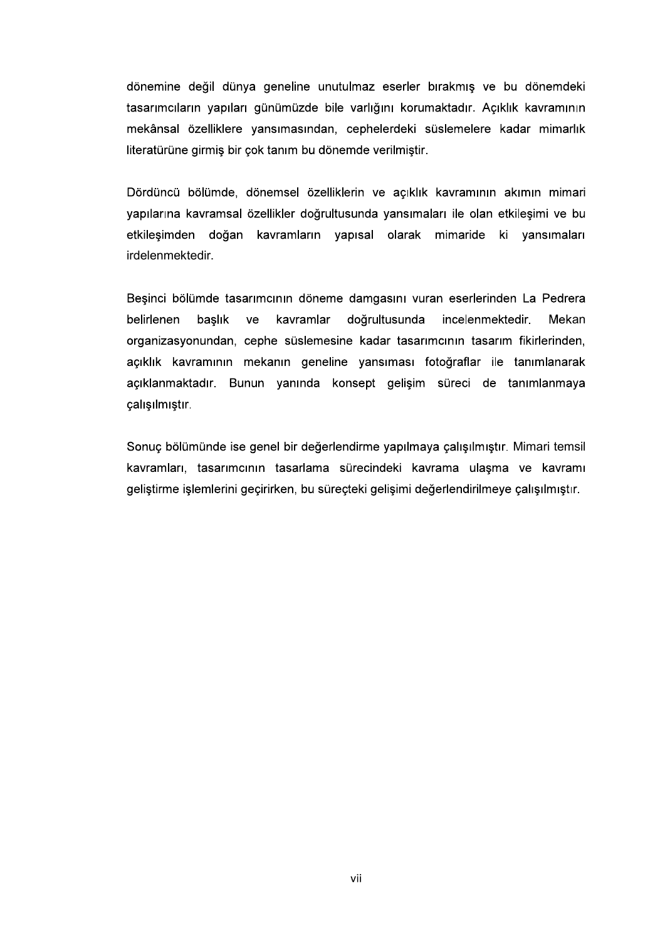dönemine değil dünya geneline unutulmaz eserler bırakmış ve bu dönemdeki tasarımcıların yapıları günümüzde bile varlığını korumaktadır. Açıklık kavramının mekânsal özelliklere yansımasından, cephelerdeki süslemelere kadar mimarlık literatürüne girmiş bir çok tanım bu dönemde verilmiştir.

Dördüncü bölümde, dönemsel özelliklerin ve açıklık kavramının akımın mimari yapılarına kavramsal özellikler doğrultusunda yansımaları ile olan etkileşimi ve bu etkileşimden doğan kavramların yapısal olarak mimaride ki yansımaları irdelenmektedir.

Beşinci bölümde tasarımcının döneme damgasını vuran eserlerinden La Pedrera kavramlar baslık doğrultusunda belirlenen ve incelenmektedir Mekan organizasyonundan, cephe süslemesine kadar tasarımcının tasarım fikirlerinden, açıklık kavramının mekanın geneline yansıması fotoğraflar ile tanımlanarak açıklanmaktadır. Bunun yanında konsept gelişim süreci de tanımlanmaya calisilmistir.

Sonuç bölümünde ise genel bir değerlendirme yapılmaya çalışılmıştır. Mimari temsil kavramları, tasarımcının tasarlama sürecindeki kavrama ulaşma ve kavramı geliştirme işlemlerini geçirirken, bu süreçteki gelişimi değerlendirilmeye çalışılmıştır.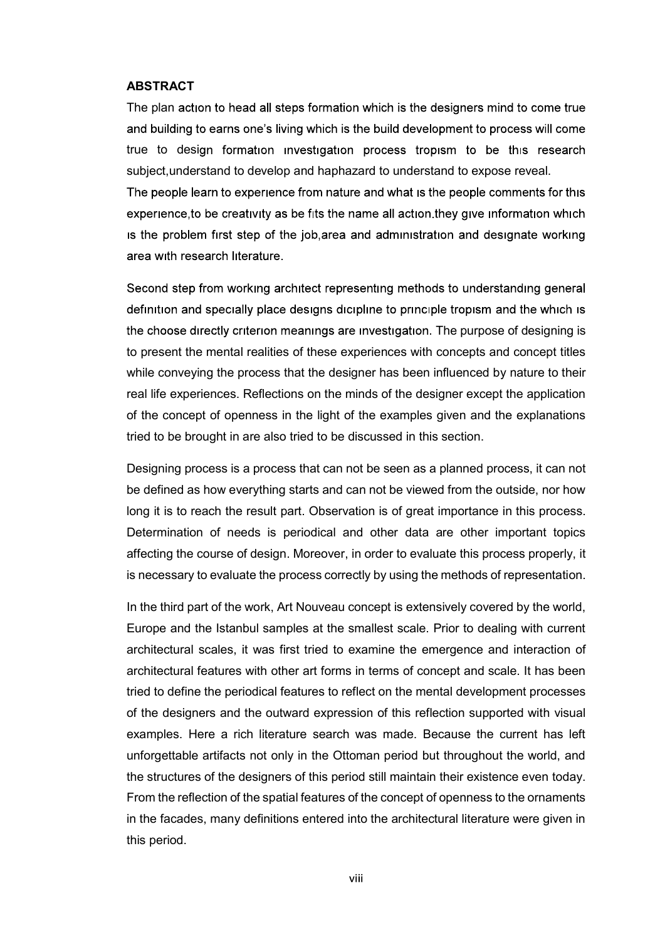## ABSTRACT

The plan action to head all steps formation which is the designers mind to come true and building to earns one's living which is the build development to process will come true to design formation investigation process tropism to be this research subject,understand to develop and haphazard to understand to expose reveal.

The people learn to experience from nature and what is the people comments for this experience, to be creativity as be fits the name all action they give information which is the problem first step of the job, area and administration and designate working area with research literature.

Second step from working architect representing methods to understanding general definition and specially place designs dicipline to principle tropism and the which is the choose directly criterion meanings are investigation. The purpose of designing is to present the mental realities of these experiences with concepts and concept titles while conveying the process that the designer has been influenced by nature to their real life experiences. Reflections on the minds of the designer except the application of the concept of openness in the light of the examples given and the explanations tried to be brought in are also tried to be discussed in this section.

Designing process is a process that can not be seen as a planned process, it can not be defined as how everything starts and can not be viewed from the outside, nor how long it is to reach the result part. Observation is of great importance in this process. Determination of needs is periodical and other data are other important topics affecting the course of design. Moreover, in order to evaluate this process properly, it is necessary to evaluate the process correctly by using the methods of representation.

In the third part of the work, Art Nouveau concept is extensively covered by the world, Europe and the Istanbul samples at the smallest scale. Prior to dealing with current architectural scales, it was first tried to examine the emergence and interaction of architectural features with other art forms in terms of concept and scale. It has been tried to define the periodical features to reflect on the mental development processes of the designers and the outward expression of this reflection supported with visual examples. Here a rich literature search was made. Because the current has left unforgettable artifacts not only in the Ottoman period but throughout the world, and the structures of the designers of this period still maintain their existence even today. From the reflection of the spatial features of the concept of openness to the ornaments in the facades, many definitions entered into the architectural literature were given in this period.

viii